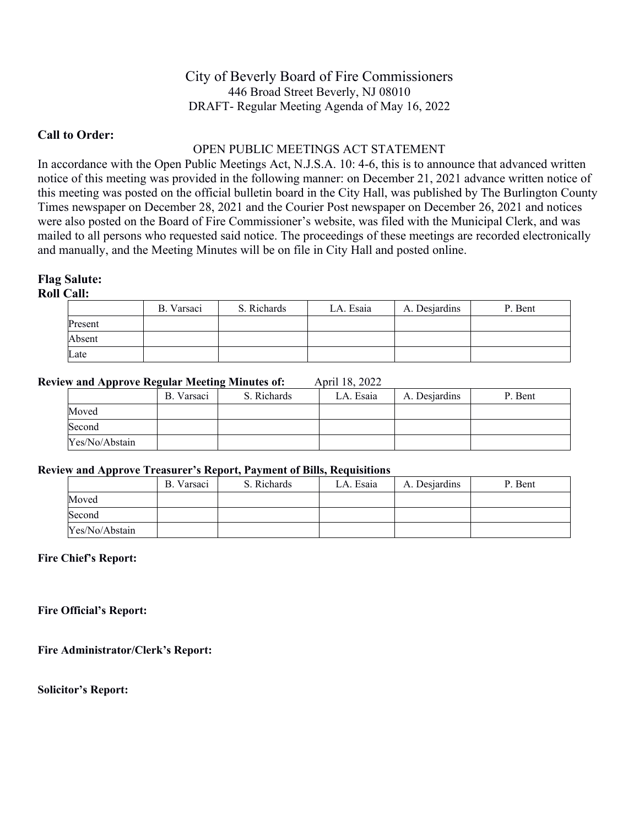# City of Beverly Board of Fire Commissioners 446 Broad Street Beverly, NJ 08010 DRAFT- Regular Meeting Agenda of May 16, 2022

## **Call to Order:**

# OPEN PUBLIC MEETINGS ACT STATEMENT

In accordance with the Open Public Meetings Act, N.J.S.A. 10: 4-6, this is to announce that advanced written notice of this meeting was provided in the following manner: on December 21, 2021 advance written notice of this meeting was posted on the official bulletin board in the City Hall, was published by The Burlington County Times newspaper on December 28, 2021 and the Courier Post newspaper on December 26, 2021 and notices were also posted on the Board of Fire Commissioner's website, was filed with the Municipal Clerk, and was mailed to all persons who requested said notice. The proceedings of these meetings are recorded electronically and manually, and the Meeting Minutes will be on file in City Hall and posted online.

## **Flag Salute:**

**Roll Call:**

|         | B. Varsaci | S. Richards | LA. Esaia | A. Desjardins | P. Bent |
|---------|------------|-------------|-----------|---------------|---------|
| Present |            |             |           |               |         |
| Absent  |            |             |           |               |         |
| Late    |            |             |           |               |         |

## **Review and Approve Regular Meeting Minutes of:** April 18, 2022

| ___            | B. Varsaci | S. Richards | LA. Esaia | A. Desjardins | P. Bent |
|----------------|------------|-------------|-----------|---------------|---------|
| Moved          |            |             |           |               |         |
| Second         |            |             |           |               |         |
| Yes/No/Abstain |            |             |           |               |         |

#### **Review and Approve Treasurer's Report, Payment of Bills, Requisitions**

| .              | B. Varsaci | S. Richards | LA. Esaia | A. Desjardins | P. Bent |
|----------------|------------|-------------|-----------|---------------|---------|
| Moved          |            |             |           |               |         |
| Second         |            |             |           |               |         |
| Yes/No/Abstain |            |             |           |               |         |

#### **Fire Chief's Report:**

**Fire Official's Report:**

**Fire Administrator/Clerk's Report:**

**Solicitor's Report:**